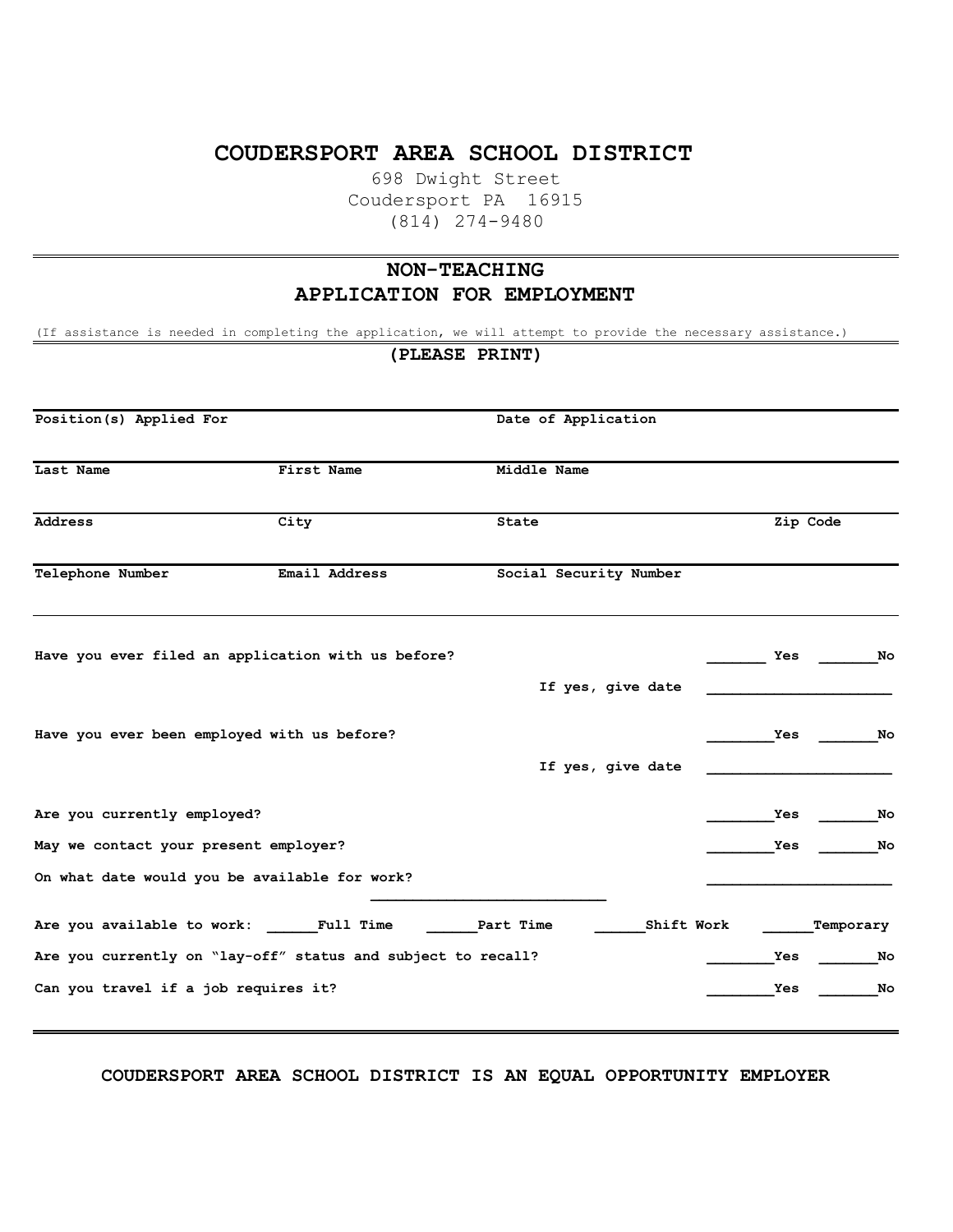## **COUDERSPORT AREA SCHOOL DISTRICT**

698 Dwight Street Coudersport PA 16915 (814) 274-9480

# **NON-TEACHING APPLICATION FOR EMPLOYMENT**

(If assistance is needed in completing the application, we will attempt to provide the necessary assistance.)

**(PLEASE PRINT) Position(s) Applied For** Date of Application **Last Name First Name Middle Name Address City State Zip Code**  Telephone Number **Email Address** Social Security Number **Have you ever filed an application with us before? \_\_\_\_\_\_\_ Yes \_\_\_\_\_\_\_No If yes, give date \_\_\_\_\_\_\_\_\_\_\_\_\_\_\_\_\_\_\_\_\_\_ Have you ever been employed with us before? \_\_\_\_\_\_\_\_Yes \_\_\_\_\_\_\_No If yes, give date \_\_\_\_\_\_\_\_\_\_\_\_\_\_\_\_\_\_\_\_\_\_ Are you currently employed? \_\_\_\_\_\_\_\_Yes \_\_\_\_\_\_\_No May we contact your present employer? \_\_\_\_\_\_\_\_Yes \_\_\_\_\_\_\_No** On what date would you be available for work? **\_\_\_\_\_\_\_\_\_\_\_\_\_\_\_\_\_\_\_\_\_\_\_\_\_\_\_\_ Are you available to work: \_\_\_\_\_\_Full Time \_\_\_\_\_\_Part Time \_\_\_\_\_\_Shift Work \_\_\_\_\_\_Temporary Are you currently on "lay-off" status and subject to recall? \_\_\_\_\_\_\_\_Yes \_\_\_\_\_\_\_No Can you travel if a job requires it? \_\_\_\_\_\_\_\_Yes \_\_\_\_\_\_\_No**

**COUDERSPORT AREA SCHOOL DISTRICT IS AN EQUAL OPPORTUNITY EMPLOYER**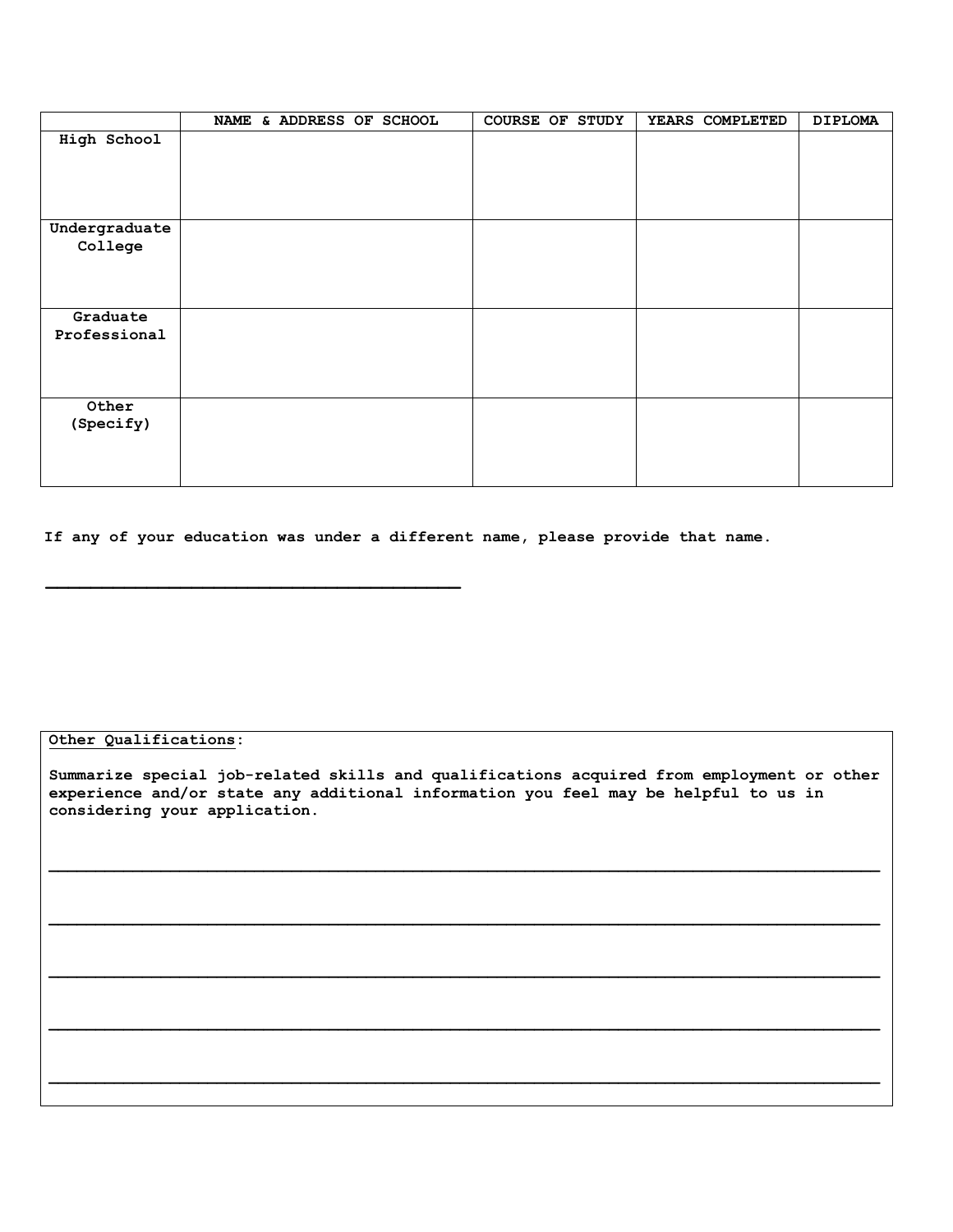|                          | NAME & ADDRESS OF SCHOOL | <b>COURSE OF STUDY</b> | YEARS COMPLETED | <b>DIPLOMA</b> |
|--------------------------|--------------------------|------------------------|-----------------|----------------|
| High School              |                          |                        |                 |                |
| Undergraduate<br>College |                          |                        |                 |                |
| Graduate<br>Professional |                          |                        |                 |                |
| Other<br>(Specify)       |                          |                        |                 |                |

**If any of your education was under a different name, please provide that name.**

## **Other Qualifications:**

**Summarize special job-related skills and qualifications acquired from employment or other experience and/or state any additional information you feel may be helpful to us in considering your application.**

 $\mathcal{L}_\mathcal{L} = \mathcal{L}_\mathcal{L}$ 

 $\mathcal{L}_\mathcal{L} = \mathcal{L}_\mathcal{L}$ 

 $\mathcal{L}_\mathcal{L} = \mathcal{L}_\mathcal{L}$ 

 $\mathcal{L}_\mathcal{L} = \mathcal{L}_\mathcal{L}$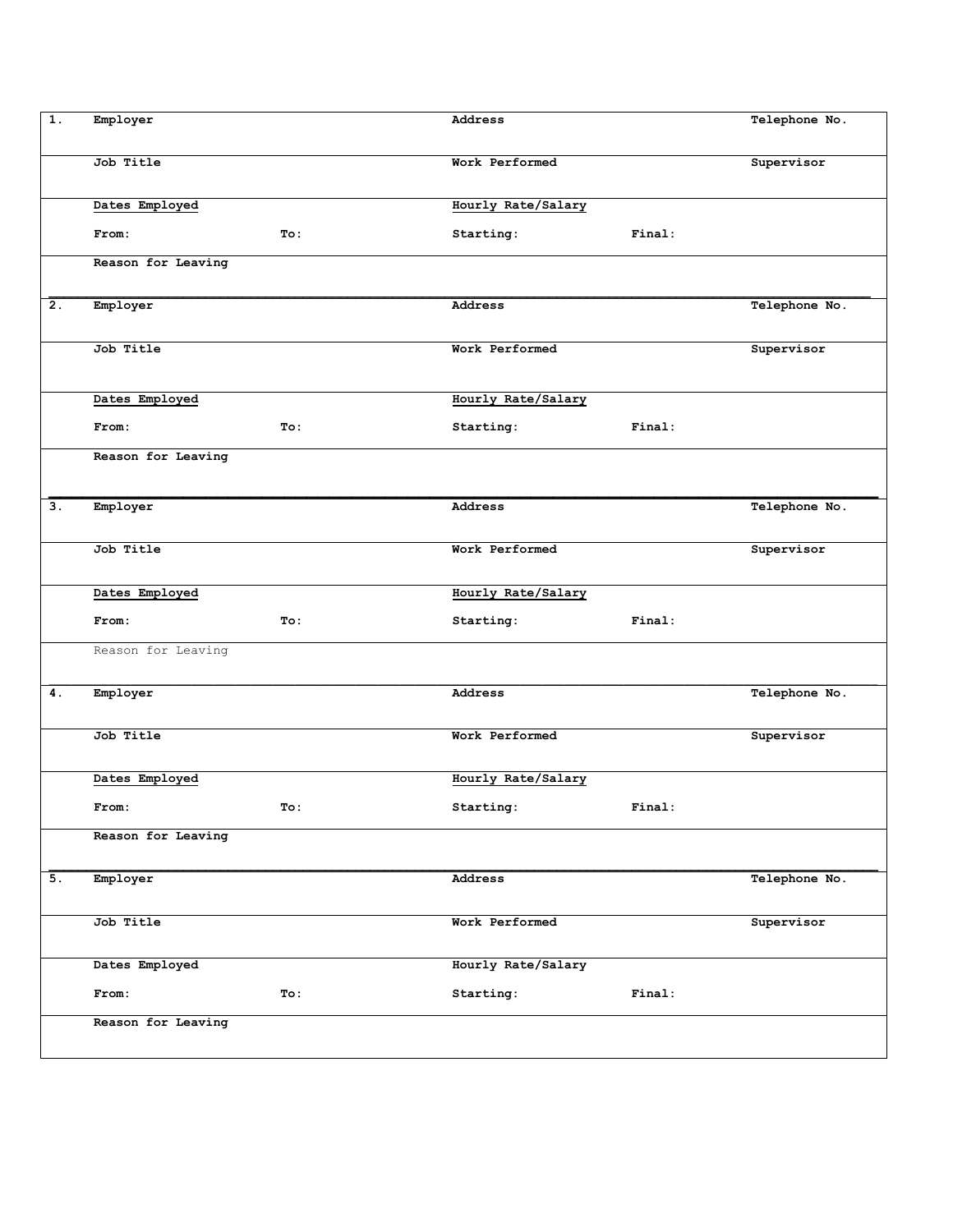| $\overline{1}$ . | Employer           |     | Address            |        | Telephone No. |
|------------------|--------------------|-----|--------------------|--------|---------------|
|                  | Job Title          |     | Work Performed     |        | Supervisor    |
|                  | Dates Employed     |     | Hourly Rate/Salary |        |               |
|                  | From:              | To: | Starting:          | Final: |               |
|                  | Reason for Leaving |     |                    |        |               |
| 2.               | Employer           |     | Address            |        | Telephone No. |
|                  | Job Title          |     | Work Performed     |        | Supervisor    |
|                  | Dates Employed     |     | Hourly Rate/Salary |        |               |
|                  | From:              | To: | Starting:          | Final: |               |
|                  | Reason for Leaving |     |                    |        |               |
| 3.               | Employer           |     | Address            |        | Telephone No. |
|                  | Job Title          |     | Work Performed     |        | Supervisor    |
|                  | Dates Employed     |     | Hourly Rate/Salary |        |               |
|                  | From:              | To: | Starting:          | Final: |               |
|                  | Reason for Leaving |     |                    |        |               |
| 4.               | Employer           |     | Address            |        | Telephone No. |
|                  | Job Title          |     | Work Performed     |        | Supervisor    |
|                  | Dates Employed     |     | Hourly Rate/Salary |        |               |
|                  | From:              | To: | Starting:          | Final: |               |
|                  | Reason for Leaving |     |                    |        |               |
| 5.               | Employer           |     | Address            |        | Telephone No. |
|                  | Job Title          |     | Work Performed     |        | Supervisor    |
|                  | Dates Employed     |     | Hourly Rate/Salary |        |               |
|                  | From:              | To: | Starting:          | Final: |               |
|                  | Reason for Leaving |     |                    |        |               |
|                  |                    |     |                    |        |               |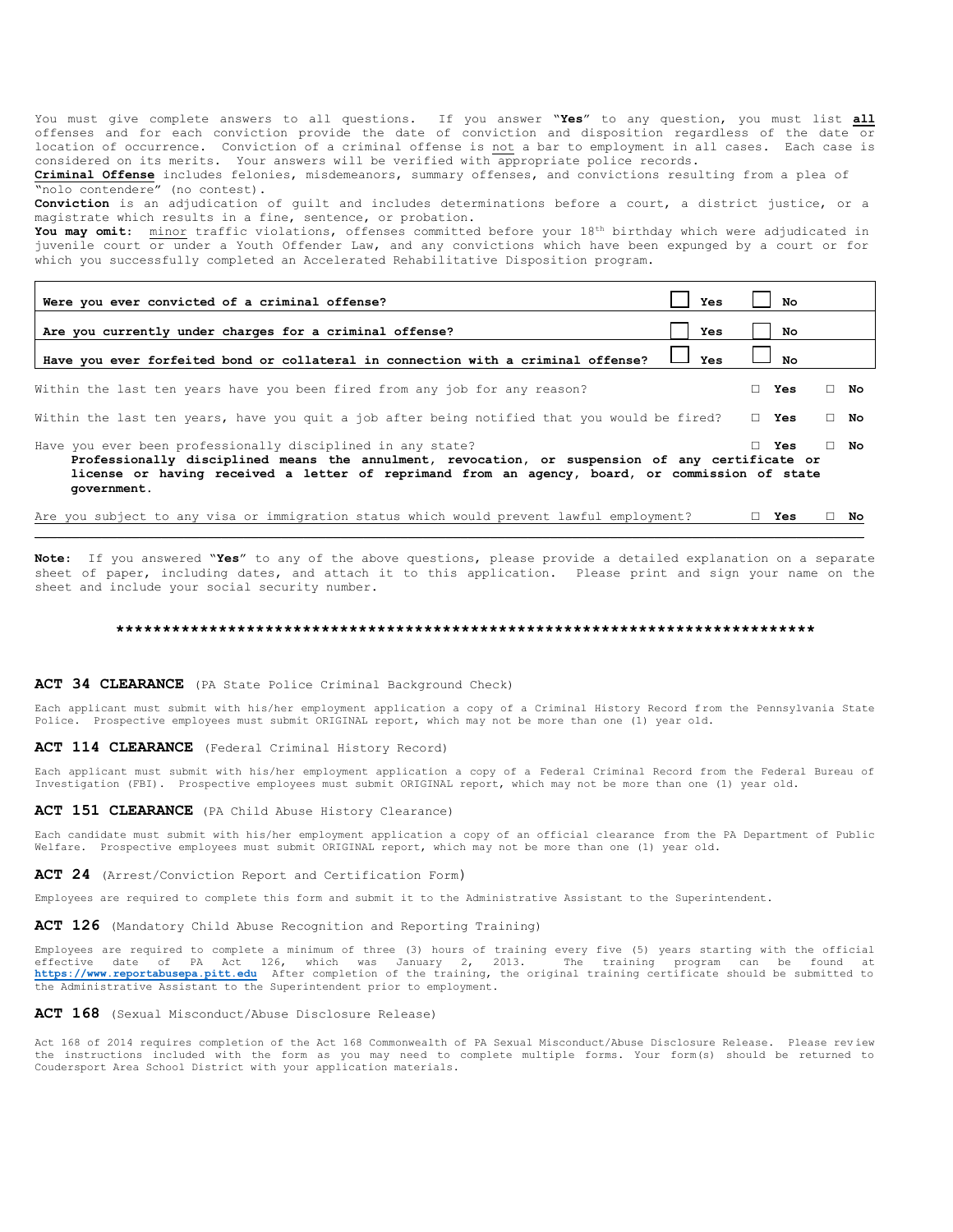You must give complete answers to all questions. If you answer "**Yes**" to any question, you must list **all** offenses and for each conviction provide the date of conviction and disposition regardless of the date or location of occurrence. Conviction of a criminal offense is not a bar to employment in all cases. Each case is considered on its merits. Your answers will be verified with appropriate police records.

**Criminal Offense** includes felonies, misdemeanors, summary offenses, and convictions resulting from a plea of "nolo contendere" (no contest).

**Conviction** is an adjudication of guilt and includes determinations before a court, a district justice, or a magistrate which results in a fine, sentence, or probation.

**You may omit**: minor traffic violations, offenses committed before your 18th birthday which were adjudicated in juvenile court or under a Youth Offender Law, and any convictions which have been expunged by a court or for which you successfully completed an Accelerated Rehabilitative Disposition program.

| Were you ever convicted of a criminal offense?                                                                                                                                                                                                                                  | Yes |    | Nο            |    |           |
|---------------------------------------------------------------------------------------------------------------------------------------------------------------------------------------------------------------------------------------------------------------------------------|-----|----|---------------|----|-----------|
| Are you currently under charges for a criminal offense?                                                                                                                                                                                                                         | Yes |    | No            |    |           |
| Have you ever forfeited bond or collateral in connection with a criminal offense?                                                                                                                                                                                               | Yes |    | No            |    |           |
| Within the last ten years have you been fired from any job for any reason?                                                                                                                                                                                                      |     | П. | Yes           |    | $\Box$ No |
| Within the last ten years, have you quit a job after being notified that you would be fired?                                                                                                                                                                                    |     |    | $\square$ Yes |    | $\Box$ No |
| Have you ever been professionally disciplined in any state?<br>Professionally disciplined means the annulment, revocation, or suspension of any certificate or<br>license or having received a letter of reprimand from an agency, board, or commission of state<br>government. |     |    | Yes           |    | $\Box$ No |
| Are you subject to any visa or immigration status which would prevent lawful employment?                                                                                                                                                                                        |     |    | Yes           | П. | No        |

**Note**: If you answered "**Yes**" to any of the above questions, please provide a detailed explanation on a separate sheet of paper, including dates, and attach it to this application. Please print and sign your name on the sheet and include your social security number.

#### **\*\*\*\*\*\*\*\*\*\*\*\*\*\*\*\*\*\*\*\*\*\*\*\*\*\*\*\*\*\*\*\*\*\*\*\*\*\*\*\*\*\*\*\*\*\*\*\*\*\*\*\*\*\*\*\*\*\*\*\*\*\*\*\*\*\*\*\*\*\*\*\*\*\*\***

### ACT 34 CLEARANCE (PA State Police Criminal Background Check)

Each applicant must submit with his/her employment application a copy of a Criminal History Record from the Pennsylvania State<br>Police. Prospective employees must submit ORIGINAL report, which may not be more than one (1)

**ACT 114 CLEARANCE** (Federal Criminal History Record)

Each applicant must submit with his/her employment application a copy of a Federal Criminal Record from the Federal Bureau of Investigation (FBI). Prospective employees must submit ORIGINAL report, which may not be more than one (1) year old.

ACT 151 CLEARANCE (PA Child Abuse History Clearance)

Each candidate must submit with his/her employment application a copy of an official clearance from the PA Department of Public Welfare. Prospective employees must submit ORIGINAL report, which may not be more than one (1) year old.

**ACT 24** (Arrest/Conviction Report and Certification Form)

Employees are required to complete this form and submit it to the Administrative Assistant to the Superintendent.

#### **ACT 126** (Mandatory Child Abuse Recognition and Reporting Training)

Employees are required to complete a minimum of three (3) hours of training every five (5) years starting with the official effective date of PA Act 126, which was January 2, 2013. The training program can be found at<br>**[https://www.reportabusepa.pitt.edu](https://www.reportabusepa.pitt.edu/)** After-completion-of-the-training,-the-original-training-certificate-should-be-submitted-to the Administrative Assistant to the Superintendent prior to employment.

#### **ACT 168** (Sexual Misconduct/Abuse Disclosure Release)

Act 168 of 2014 requires completion of the Act 168 Commonwealth of PA Sexual Misconduct/Abuse Disclosure Release. Please rev iew the instructions included with the form as you may need to complete multiple forms. Your form(s) should be returned to Coudersport Area School District with your application materials.